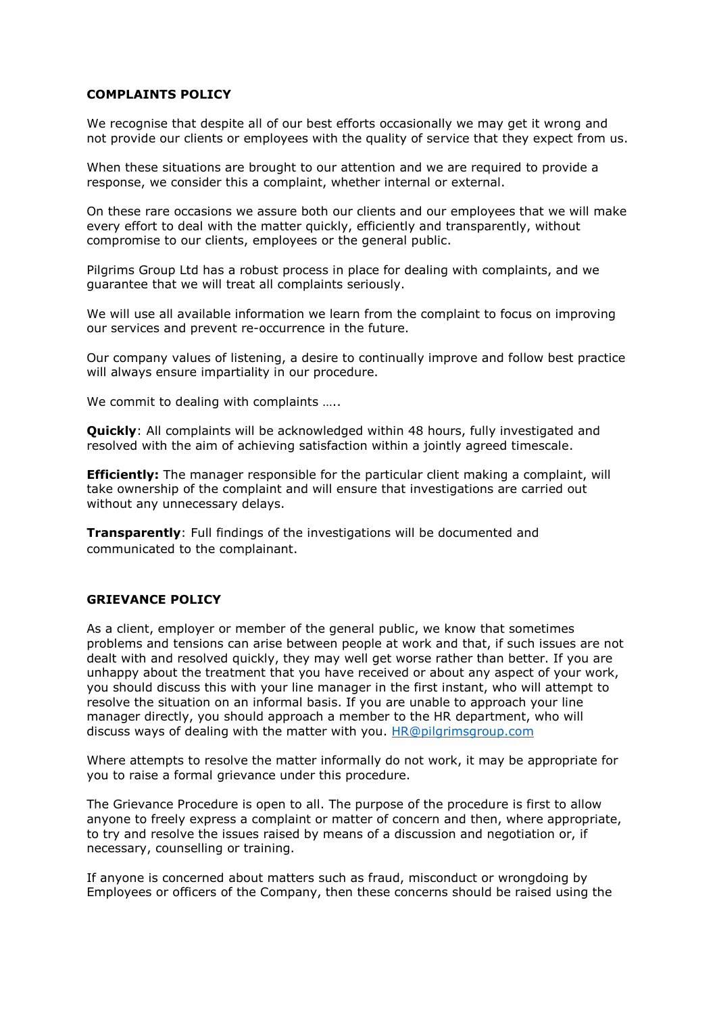#### **COMPLAINTS POLICY**

We recognise that despite all of our best efforts occasionally we may get it wrong and not provide our clients or employees with the quality of service that they expect from us.

When these situations are brought to our attention and we are required to provide a response, we consider this a complaint, whether internal or external.

On these rare occasions we assure both our clients and our employees that we will make every effort to deal with the matter quickly, efficiently and transparently, without compromise to our clients, employees or the general public.

Pilgrims Group Ltd has a robust process in place for dealing with complaints, and we guarantee that we will treat all complaints seriously.

We will use all available information we learn from the complaint to focus on improving our services and prevent re-occurrence in the future.

Our company values of listening, a desire to continually improve and follow best practice will always ensure impartiality in our procedure.

We commit to dealing with complaints .....

**Quickly:** All complaints will be acknowledged within 48 hours, fully investigated and resolved with the aim of achieving satisfaction within a jointly agreed timescale.

**Efficiently:** The manager responsible for the particular client making a complaint, will take ownership of the complaint and will ensure that investigations are carried out without any unnecessary delays.

**Transparently**: Full findings of the investigations will be documented and communicated to the complainant.

### **GRIEVANCE POLICY**

As a client, employer or member of the general public, we know that sometimes problems and tensions can arise between people at work and that, if such issues are not dealt with and resolved quickly, they may well get worse rather than better. If you are unhappy about the treatment that you have received or about any aspect of your work, you should discuss this with your line manager in the first instant, who will attempt to resolve the situation on an informal basis. If you are unable to approach your line manager directly, you should approach a member to the HR department, who will discuss ways of dealing with the matter with you. [HR@pilgrimsgroup.com](mailto:HR@pilgrimsgroup.com)

Where attempts to resolve the matter informally do not work, it may be appropriate for you to raise a formal grievance under this procedure.

The Grievance Procedure is open to all. The purpose of the procedure is first to allow anyone to freely express a complaint or matter of concern and then, where appropriate, to try and resolve the issues raised by means of a discussion and negotiation or, if necessary, counselling or training.

If anyone is concerned about matters such as fraud, misconduct or wrongdoing by Employees or officers of the Company, then these concerns should be raised using the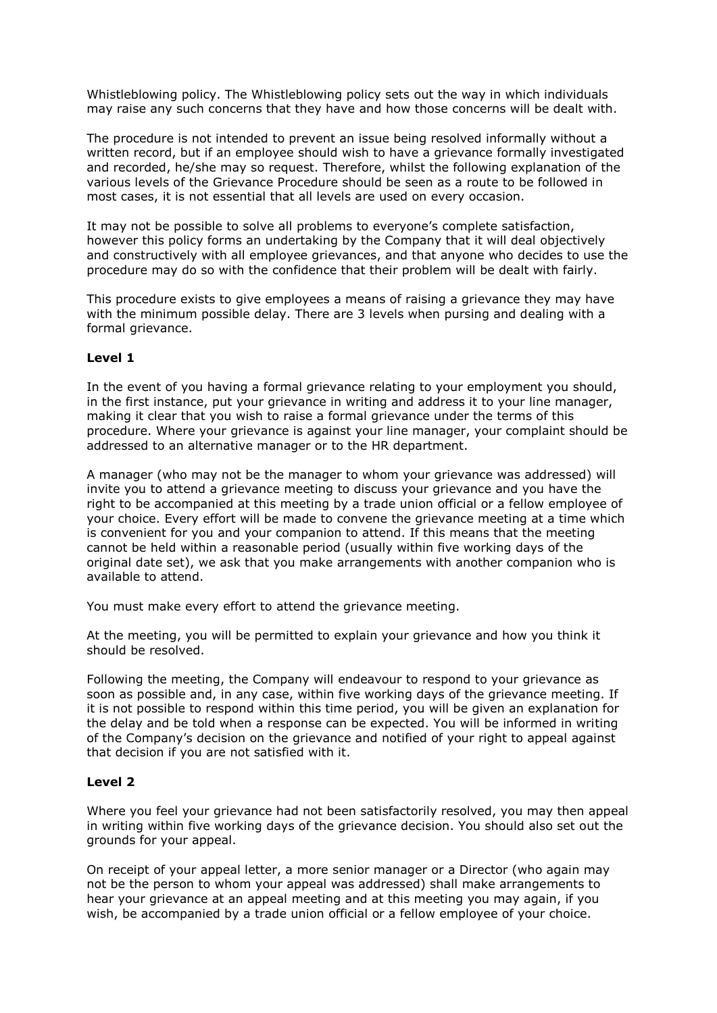Whistleblowing policy. The Whistleblowing policy sets out the way in which individuals may raise any such concerns that they have and how those concerns will be dealt with.

The procedure is not intended to prevent an issue being resolved informally without a written record, but if an employee should wish to have a grievance formally investigated and recorded, he/she may so request. Therefore, whilst the following explanation of the various levels of the Grievance Procedure should be seen as a route to be followed in most cases, it is not essential that all levels are used on every occasion.

It may not be possible to solve all problems to everyone's complete satisfaction, however this policy forms an undertaking by the Company that it will deal objectively and constructively with all employee grievances, and that anyone who decides to use the procedure may do so with the confidence that their problem will be dealt with fairly.

This procedure exists to give employees a means of raising a grievance they may have with the minimum possible delay. There are 3 levels when pursing and dealing with a formal grievance.

# **Level 1**

In the event of you having a formal grievance relating to your employment you should, in the first instance, put your grievance in writing and address it to your line manager, making it clear that you wish to raise a formal grievance under the terms of this procedure. Where your grievance is against your line manager, your complaint should be addressed to an alternative manager or to the HR department.

A manager (who may not be the manager to whom your grievance was addressed) will invite you to attend a grievance meeting to discuss your grievance and you have the right to be accompanied at this meeting by a trade union official or a fellow employee of your choice. Every effort will be made to convene the grievance meeting at a time which is convenient for you and your companion to attend. If this means that the meeting cannot be held within a reasonable period (usually within five working days of the original date set), we ask that you make arrangements with another companion who is available to attend.

You must make every effort to attend the grievance meeting.

At the meeting, you will be permitted to explain your grievance and how you think it should be resolved.

Following the meeting, the Company will endeavour to respond to your grievance as soon as possible and, in any case, within five working days of the grievance meeting. If it is not possible to respond within this time period, you will be given an explanation for the delay and be told when a response can be expected. You will be informed in writing of the Company's decision on the grievance and notified of your right to appeal against that decision if you are not satisfied with it.

# **Level 2**

Where you feel your grievance had not been satisfactorily resolved, you may then appeal in writing within five working days of the grievance decision. You should also set out the grounds for your appeal.

On receipt of your appeal letter, a more senior manager or a Director (who again may not be the person to whom your appeal was addressed) shall make arrangements to hear your grievance at an appeal meeting and at this meeting you may again, if you wish, be accompanied by a trade union official or a fellow employee of your choice.